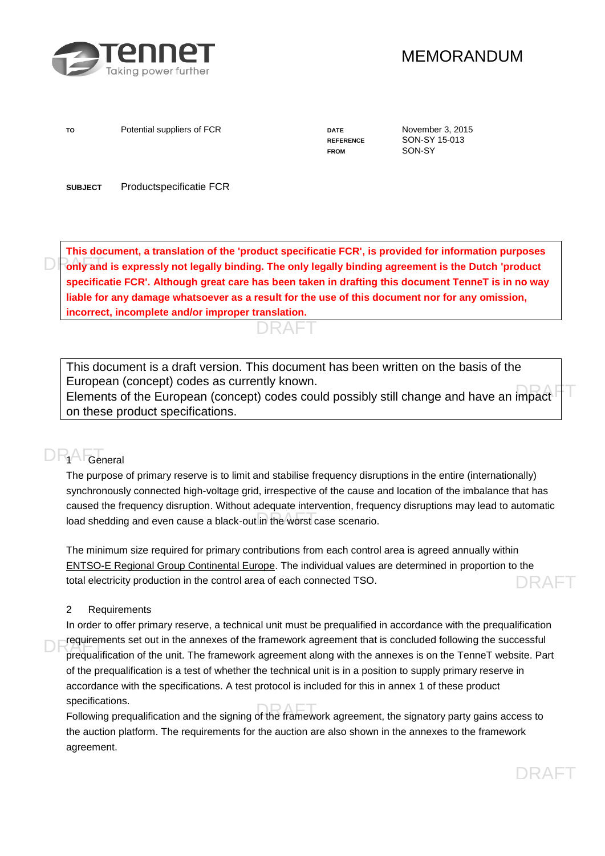

## MEMORANDUM

To **Potential suppliers of FCR DATE DATE** November 3, 2015

FROM SON-SY

**REFERENCE** SON-SY 15-013

**SUBJECT** Productspecificatie FCR

**DRAFT ONLY and is expressly not legally binding. The only legally binding agreement is the Dutch 'product This document, a translation of the 'product specificatie FCR', is provided for information purposes specificatie FCR'. Although great care has been taken in drafting this document TenneT is in no way liable for any damage whatsoever as a result for the use of this document nor for any omission, incorrect, incomplete and/or improper translation.** 



This document is a draft version. This document has been written on the basis of the European (concept) codes as currently known.

European (concept) codes as carrently whown.<br>Elements of the European (concept) codes could possibly still change and have an impact on these product specifications.

# DR<sub>1</sub>AFT<sub>General</sub>

load shedding and even cause a black-out in the worst case scenario. The purpose of primary reserve is to limit and stabilise frequency disruptions in the entire (internationally) synchronously connected high-voltage grid, irrespective of the cause and location of the imbalance that has caused the frequency disruption. Without adequate intervention, frequency disruptions may lead to automatic

DRAFT The minimum size required for primary contributions from each control area is agreed annually within [ENTSO-E Regional Group Continental Europe.](http://www.entsoe.eu/) The individual values are determined in proportion to the total electricity production in the control area of each connected TSO.

#### 2 Requirements

DRAFT prequirements set out in the annexes of the framework agreement that is concluded following the successful<br>prequalification of the unit. The framework agreement along with the annexes is on the TenneT website. Part In order to offer primary reserve, a technical unit must be prequalified in accordance with the prequalification requirements set out in the annexes of the framework agreement that is concluded following the successful of the prequalification is a test of whether the technical unit is in a position to supply primary reserve in accordance with the specifications. A test protocol is included for this in annex 1 of these product specifications.

specifications.<br>Following prequalification and the signing of the framework agreement, the signatory party gains access to the auction platform. The requirements for the auction are also shown in the annexes to the framework agreement.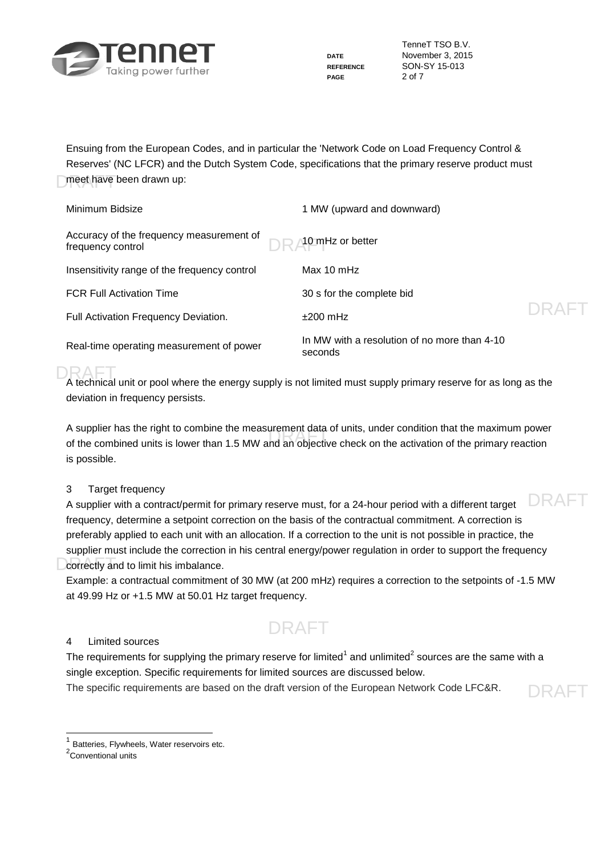

**PAGE** 2 of 7

TenneT TSO B.V. **DATE** November 3, 2015 **REFERENCE** SON-SY 15-013

DRAFT

meet have been drawn up: Ensuing from the European Codes, and in particular the 'Network Code on Load Frequency Control & Reserves' (NC LFCR) and the Dutch System Code, specifications that the primary reserve product must

| Minimum Bidsize                                               | 1 MW (upward and downward)                              |       |
|---------------------------------------------------------------|---------------------------------------------------------|-------|
| Accuracy of the frequency measurement of<br>frequency control | 10 mHz or better                                        |       |
| Insensitivity range of the frequency control                  | Max $10 \text{ mHz}$                                    |       |
| <b>FCR Full Activation Time</b>                               | 30 s for the complete bid                               |       |
| Full Activation Frequency Deviation.                          | $+200$ mHz                                              | DRAFT |
| Real-time operating measurement of power                      | In MW with a resolution of no more than 4-10<br>seconds |       |

DRAFT<br>A technical unit or pool where the energy supply is not limited must supply primary reserve for as long as the deviation in frequency persists.

A supplier has the nght to combine the measurement data or units, under condition that the maximum power<br>of the combined units is lower than 1.5 MW and an objective check on the activation of the primary reaction A supplier has the right to combine the measurement data of units, under condition that the maximum power is possible.

#### 3 Target frequency

DRAFT **Correctly and to limit his imbalance.** A supplier with a contract/permit for primary reserve must, for a 24-hour period with a different target frequency, determine a setpoint correction on the basis of the contractual commitment. A correction is preferably applied to each unit with an allocation. If a correction to the unit is not possible in practice, the supplier must include the correction in his central energy/power regulation in order to support the frequency

Example: a contractual commitment of 30 MW (at 200 mHz) requires a correction to the setpoints of -1.5 MW at 49.99 Hz or +1.5 MW at 50.01 Hz target frequency.

# DRAFT

#### 4 Limited sources

The requirements for supplying the primary reserve for limited<sup>1</sup> and unlimited<sup>2</sup> sources are the same with a single exception. Specific requirements for limited sources are discussed below.

The specific requirements are based on the draft version of the European Network Code LFC&R.

1 Batteries, Flywheels, Water reservoirs etc.

<sup>2</sup>Conventional units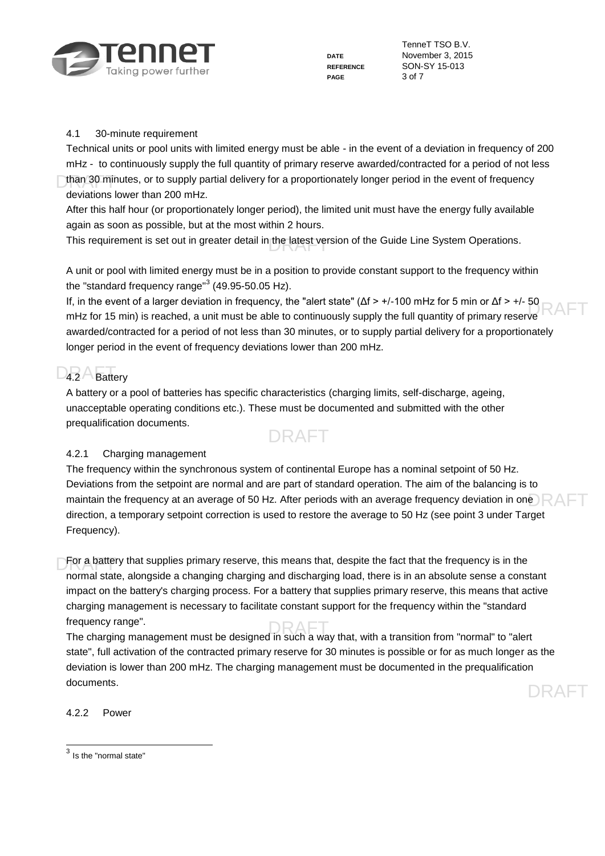

**PAGE** 3 of 7

TenneT TSO B.V. **DATE** November 3, 2015 **REFERENCE** SON-SY 15-013

#### 4.1 30-minute requirement

than 30 minutes, or to supply partial delivery for a proportionately longer period in the event of frequency Technical units or pool units with limited energy must be able - in the event of a deviation in frequency of 200 mHz - to continuously supply the full quantity of primary reserve awarded/contracted for a period of not less deviations lower than 200 mHz.

After this half hour (or proportionately longer period), the limited unit must have the energy fully available again as soon as possible, but at the most within 2 hours.

This requirement is set out in greater detail in the latest version of the Guide Line System Operations.

A unit or pool with limited energy must be in a position to provide constant support to the frequency within the "standard frequency range" $3$  (49.95-50.05 Hz).

II, in the event of a larger deviation in frequency, the "alert state" (APS +/-100 mHz for 5 min or APS +/-50<br>mHz for 15 min) is reached, a unit must be able to continuously supply the full quantity of primary reserve RAF If, in the event of a larger deviation in frequency, the "alert state" (Δf > +/-100 mHz for 5 min or Δf > +/- 50 awarded/contracted for a period of not less than 30 minutes, or to supply partial delivery for a proportionately longer period in the event of frequency deviations lower than 200 mHz.

# D<sub>4.2</sub> Battery

A battery or a pool of batteries has specific characteristics (charging limits, self-discharge, ageing, unacceptable operating conditions etc.). These must be documented and submitted with the other prequalification documents.

# DRAFT

#### 4.2.1 Charging management

maintain the frequency at an average of 50 Hz. After periods with an average frequency deviation in one  ${\sf P}\mathsf{A}\mathsf{F}$ The frequency within the synchronous system of continental Europe has a nominal setpoint of 50 Hz. Deviations from the setpoint are normal and are part of standard operation. The aim of the balancing is to direction, a temporary setpoint correction is used to restore the average to 50 Hz (see point 3 under Target Frequency).

For a battery that supplies primary reserve, this means that, despite the fact that the frequency is in the normal state, alongside a changing charging and discharging load, there is in an absolute sense a constant impact on the battery's charging process. For a battery that supplies primary reserve, this means that active charging management is necessary to facilitate constant support for the frequency within the "standard frequency range".

trequency range".<br>The charging management must be designed in such a way that, with a transition from "normal" to "alert state", full activation of the contracted primary reserve for 30 minutes is possible or for as much longer as the deviation is lower than 200 mHz. The charging management must be documented in the prequalification documents.

4.2.2 Power

 $3$  Is the "normal state"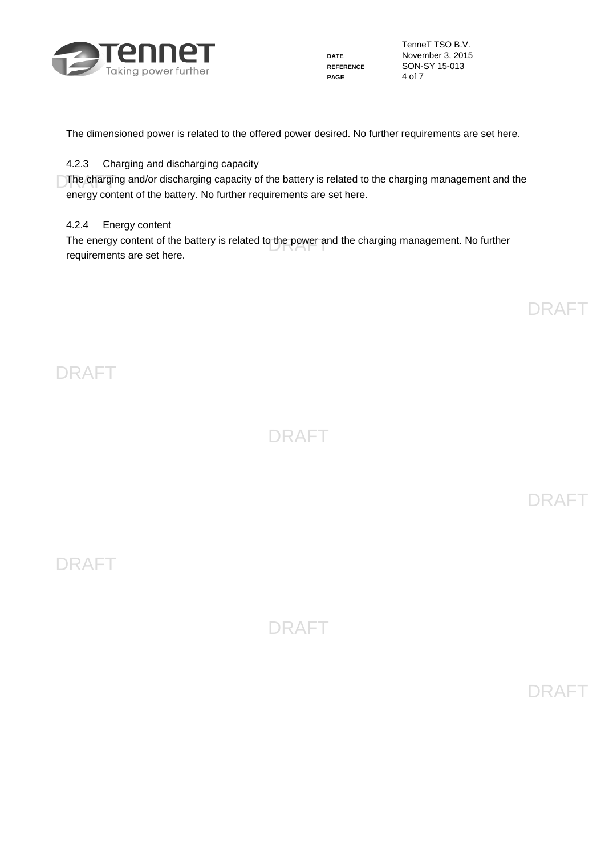

**PAGE** 4 of 7

TenneT TSO B.V. **DATE** November 3, 2015 **REFERENCE** SON-SY 15-013

The dimensioned power is related to the offered power desired. No further requirements are set here.

#### 4.2.3 Charging and discharging capacity

The charging and/or discharging capacity of the battery is related to the charging management and the energy content of the battery. No further requirements are set here.

#### 4.2.4 Energy content

The energy content of the battery is related to the power and the charging management. No further<br>requirements are est here requirements are set here.

DRAFT

DRAFT

DRAFT

DRAFT

DRAFT

DRAFT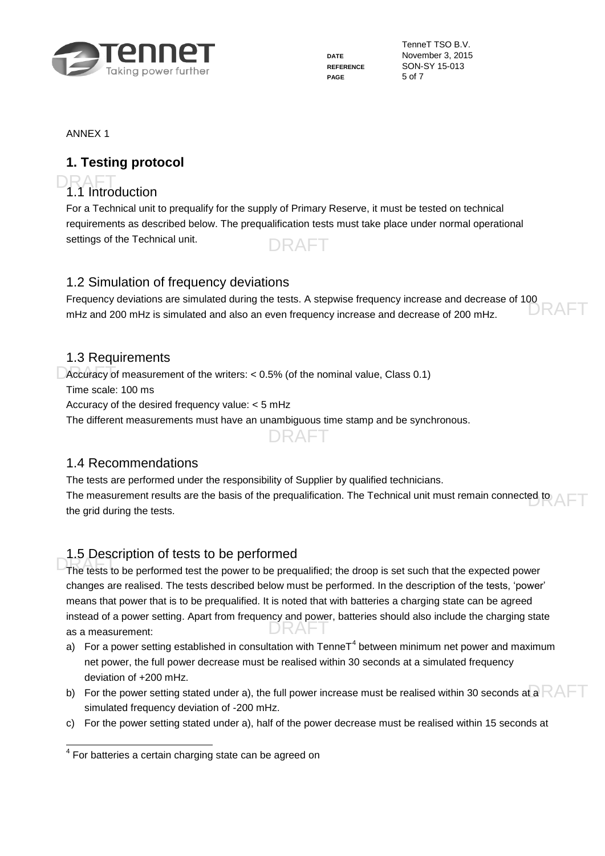

**PAGE** 5 of 7

TenneT TSO B.V. **DATE** November 3, 2015 **REFERENCE** SON-SY 15-013

ANNEX 1

### **1. Testing protocol**

# DRAFT<br>1.1 Introduction

DRAFT For a Technical unit to prequalify for the supply of Primary Reserve, it must be tested on technical requirements as described below. The prequalification tests must take place under normal operational settings of the Technical unit.

### 1.2 Simulation of frequency deviations

RAF Frequency deviations are simulated during the tests. A stepwise frequency increase and decrease of 100 mHz and 200 mHz is simulated and also an even frequency increase and decrease of 200 mHz.

### 1.3 Requirements

Decuracy of measurement of the writers: < 0.5% (of the nominal value, Class 0.1)

Time scale: 100 ms

Accuracy of the desired frequency value: < 5 mHz

The different measurements must have an unambiguous time stamp and be synchronous.

DRAFT

### 1.4 Recommendations

The measurement results are the basis of the prequalification. The Technical unit must remain connected to  $\mathsf{AFT}$ The tests are performed under the responsibility of Supplier by qualified technicians. the grid during the tests.

### 1.5 Description of tests to be performed

The tests to be performed test the power to be prequalified; the droop is set such that the expected power instead of a power setting. Apart from frequency and power, batteries should also include the charging state as a measurement: changes are realised. The tests described below must be performed. In the description of the tests, 'power' means that power that is to be prequalified. It is noted that with batteries a charging state can be agreed as a measurement:

- a) For a power setting established in consultation with TenneT<sup>4</sup> between minimum net power and maximum net power, the full power decrease must be realised within 30 seconds at a simulated frequency deviation of +200 mHz.
- b)  $\,$  For the power setting stated under a), the full power increase must be realised within 30 seconds at a  ${\sf RAFT}$ simulated frequency deviation of -200 mHz.
- c) For the power setting stated under a), half of the power decrease must be realised within 15 seconds at

 4 For batteries a certain charging state can be agreed on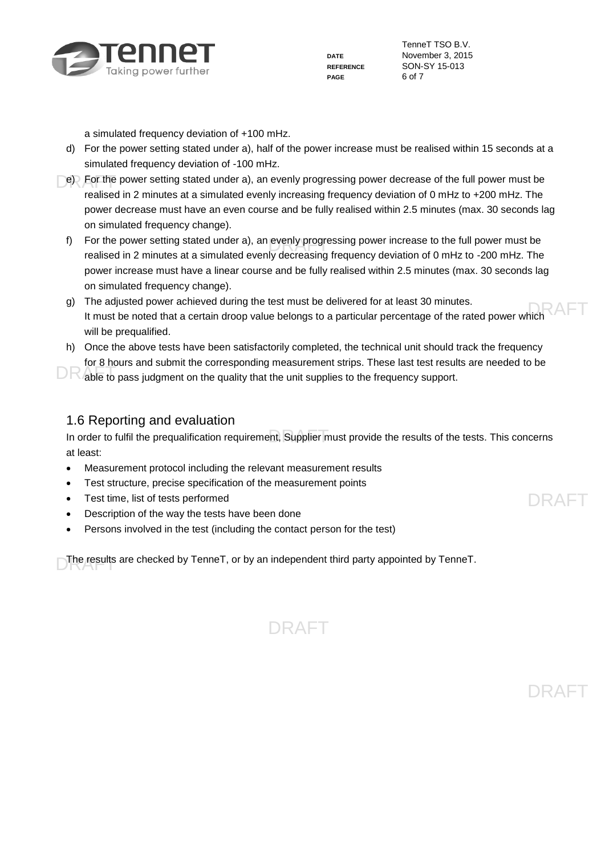

**PAGE** 6 of 7

TenneT TSO B.V. **DATE** November 3, 2015 **REFERENCE** SON-SY 15-013

a simulated frequency deviation of +100 mHz.

- d) For the power setting stated under a), half of the power increase must be realised within 15 seconds at a simulated frequency deviation of -100 mHz.
- e) For the power setting stated under a), an evenly progressing power decrease of the full power must be realised in 2 minutes at a simulated evenly increasing frequency deviation of 0 mHz to +200 mHz. The power decrease must have an even course and be fully realised within 2.5 minutes (max. 30 seconds lag on simulated frequency change).
	- f) For the power setting stated under a), an evenly progressing power increase to the full power must be<br>realized in 2 minutes at a simulated avantual accessing frequency deviation of 0 mHz to 200 mHz. The realised in 2 minutes at a simulated evenly decreasing frequency deviation of 0 mHz to -200 mHz. The power increase must have a linear course and be fully realised within 2.5 minutes (max. 30 seconds lag on simulated frequency change).
	- The adjusted power achieved during the test must be delivered for at least 30 minutes.<br>It must be noted that a certain droop value belongs to a particular percentage of the rated power which g) The adjusted power achieved during the test must be delivered for at least 30 minutes. will be prequalified.
	- h) Once the above tests have been satisfactorily completed, the technical unit should track the frequency for 8 hours and submit the corresponding measurement strips. These last test results are needed to be

DR able to pass judgment on the quality that the unit supplies to the frequency support.

#### 1.6 Reporting and evaluation

In order to fulfil the prequalification requirement, Supplier must provide the results of the tests. This concerns at least:

- Measurement protocol including the relevant measurement results
- Test structure, precise specification of the measurement points
- Test time, list of tests performed
- Description of the way the tests have been done
- Persons involved in the test (including the contact person for the test)

DRAFT The results are checked by TenneT, or by an independent third party appointed by TenneT.